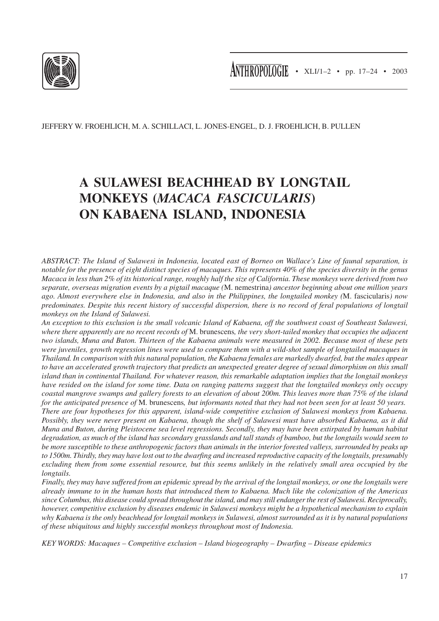

JEFFERY W. FROEHLICH, M. A. SCHILLACI, L. JONES-ENGEL, D. J. FROEHLICH, B. PULLEN

# **A SULAWESI BEACHHEAD BY LONGTAIL MONKEYS (***MACACA FASCICULARIS***) ON KABAENA ISLAND, INDONESIA**

*ABSTRACT: The Island of Sulawesi in Indonesia, located east of Borneo on Wallace's Line of faunal separation, is notable for the presence of eight distinct species of macaques. This represents 40% of the species diversity in the genus Macaca in less than 2% of its historical range, roughly half the size of California. These monkeys were derived from two separate, overseas migration events by a pigtail macaque (*M. nemestrina*) ancestor beginning about one million years ago. Almost everywhere else in Indonesia, and also in the Philippines, the longtailed monkey (*M. fascicularis*) now predominates. Despite this recent history of successful dispersion, there is no record of feral populations of longtail monkeys on the Island of Sulawesi.*

*An exception to this exclusion is the small volcanic Island of Kabaena, off the southwest coast of Southeast Sulawesi, where there apparently are no recent records of* M. brunescens*, the very short-tailed monkey that occupies the adjacent two islands, Muna and Buton. Thirteen of the Kabaena animals were measured in 2002. Because most of these pets were juveniles, growth regression lines were used to compare them with a wild-shot sample of longtailed macaques in Thailand. In comparison with this natural population, the Kabaena females are markedly dwarfed, but the males appear to have an accelerated growth trajectory that predicts an unexpected greater degree of sexual dimorphism on this small island than in continental Thailand. For whatever reason, this remarkable adaptation implies that the longtail monkeys have resided on the island for some time. Data on ranging patterns suggest that the longtailed monkeys only occupy coastal mangrove swamps and gallery forests to an elevation of about 200m. This leaves more than 75% of the island for the anticipated presence of* M. brunescens*, but informants noted that they had not been seen for at least 50 years. There are four hypotheses for this apparent, island-wide competitive exclusion of Sulawesi monkeys from Kabaena. Possibly, they were never present on Kabaena, though the shelf of Sulawesi must have absorbed Kabaena, as it did Muna and Buton, during Pleistocene sea level regressions. Secondly, they may have been extirpated by human habitat degradation, as much of the island has secondary grasslands and tall stands of bamboo, but the longtails would seem to be more susceptible to these anthropogenic factors than animals in the interior forested valleys, surrounded by peaks up to 1500m. Thirdly, they may have lost out to the dwarfing and increased reproductive capacity of the longtails, presumably excluding them from some essential resource, but this seems unlikely in the relatively small area occupied by the longtails.*

*Finally, they may have suffered from an epidemic spread by the arrival of the longtail monkeys, or one the longtails were already immune to in the human hosts that introduced them to Kabaena. Much like the colonization of the Americas since Columbus, this disease could spread throughout the island, and may still endanger the rest of Sulawesi. Reciprocally, however, competitive exclusion by diseases endemic in Sulawesi monkeys might be a hypothetical mechanism to explain why Kabaena is the only beachhead for longtail monkeys in Sulawesi, almost surrounded as it is by natural populations of these ubiquitous and highly successful monkeys throughout most of Indonesia.*

*KEY WORDS: Macaques – Competitive exclusion – Island biogeography – Dwarfing – Disease epidemics*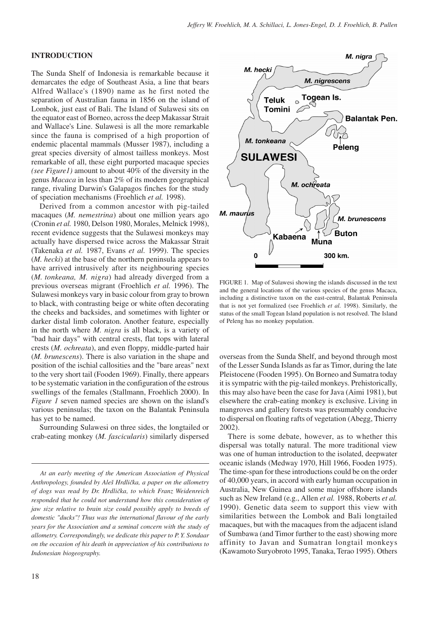## **INTRODUCTION**

The Sunda Shelf of Indonesia is remarkable because it demarcates the edge of Southeast Asia, a line that bears Alfred Wallace's (1890) name as he first noted the separation of Australian fauna in 1856 on the island of Lombok, just east of Bali. The Island of Sulawesi sits on the equator east of Borneo, across the deep Makassar Strait and Wallace's Line. Sulawesi is all the more remarkable since the fauna is comprised of a high proportion of endemic placental mammals (Musser 1987), including a great species diversity of almost tailless monkeys. Most remarkable of all, these eight purported macaque species *(see Figure1)* amount to about 40% of the diversity in the genus *Macaca* in less than 2% of its modern geographical range, rivaling Darwin's Galapagos finches for the study of speciation mechanisms (Froehlich *et al.* 1998).

Derived from a common ancestor with pig-tailed macaques (*M. nemestrina*) about one million years ago (Cronin *et al.* 1980, Delson 1980, Morales, Melnick 1998), recent evidence suggests that the Sulawesi monkeys may actually have dispersed twice across the Makassar Strait (Takenaka *et al.* 1987, Evans *et al.* 1999). The species (*M. hecki*) at the base of the northern peninsula appears to have arrived intrusively after its neighbouring species (*M. tonkeana, M. nigra*) had already diverged from a previous overseas migrant (Froehlich *et al.* 1996). The Sulawesi monkeys vary in basic colour from gray to brown to black, with contrasting beige or white often decorating the cheeks and backsides, and sometimes with lighter or darker distal limb coloraton. Another feature, especially in the north where *M. nigra* is all black, is a variety of "bad hair days" with central crests, flat tops with lateral crests (*M. ochreata*), and even floppy, middle-parted hair (*M. brunescens*). There is also variation in the shape and position of the ischial callosities and the "bare areas" next to the very short tail (Fooden 1969). Finally, there appears to be systematic variation in the configuration of the estrous swellings of the females (Stallmann, Froehlich 2000). In *Figure 1* seven named species are shown on the island's various peninsulas; the taxon on the Balantak Peninsula has yet to be named.

Surrounding Sulawesi on three sides, the longtailed or crab-eating monkey (*M. fascicularis*) similarly dispersed



FIGURE 1. Map of Sulawesi showing the islands discussed in the text and the general locations of the various species of the genus Macaca, including a distinctive taxon on the east-central, Balantak Peninsula that is not yet formalized (see Froehlich *et al.* 1998). Similarly, the status of the small Togean Island population is not resolved. The Island of Peleng has no monkey population.

overseas from the Sunda Shelf, and beyond through most of the Lesser Sunda Islands as far as Timor, during the late Pleistocene (Fooden 1995). On Borneo and Sumatra today it is sympatric with the pig-tailed monkeys. Prehistorically, this may also have been the case for Java (Aimi 1981), but elsewhere the crab-eating monkey is exclusive. Living in mangroves and gallery forests was presumably conducive to dispersal on floating rafts of vegetation (Abegg, Thierry 2002).

There is some debate, however, as to whether this dispersal was totally natural. The more traditional view was one of human introduction to the isolated, deepwater oceanic islands (Medway 1970, Hill 1966, Fooden 1975). The time-span for these introductions could be on the order of 40,000 years, in accord with early human occupation in Australia, New Guinea and some major offshore islands such as New Ireland (e.g., Allen *et al.* 1988, Roberts *et al.* 1990). Genetic data seem to support this view with similarities between the Lombok and Bali longtailed macaques, but with the macaques from the adjacent island of Sumbawa (and Timor further to the east) showing more affinity to Javan and Sumatran longtail monkeys (Kawamoto Suryobroto 1995, Tanaka, Terao 1995). Others

*At an early meeting of the American Association of Physical Anthropology, founded by Aleš Hrdlička, a paper on the allometry of dogs was read by Dr. Hrdlička, to which Franz Weidenreich responded that he could not understand how this consideration of jaw size relative to brain size could possibly apply to breeds of domestic "ducks"! Thus was the international flavour of the early years for the Association and a seminal concern with the study of allometry. Correspondingly, we dedicate this paper to P. Y. Sondaar on the occasion of his death in appreciation of his contributions to Indonesian biogeography.*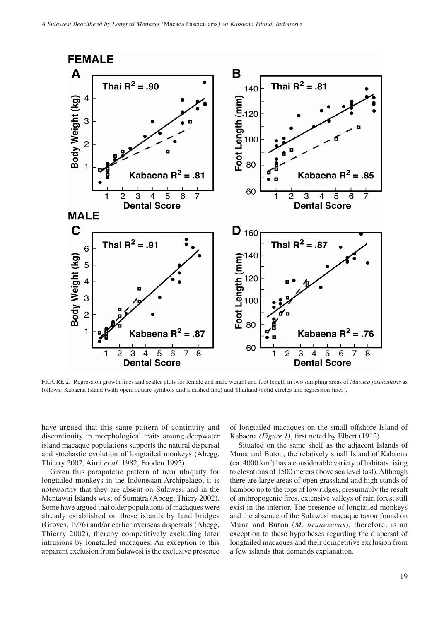

FIGURE 2. Regression growth lines and scatter plots for female and male weight and foot length in two sampling areas of *Macaca fascicularis* as follows: Kabaena Island (with open, square symbols and a dashed line) and Thailand (solid circles and regression lines).

have argued that this same pattern of continuity and discontinuity in morphological traits among deepwater island macaque populations supports the natural dispersal and stochastic evolution of longtailed monkeys (Abegg, Thierry 2002, Aimi *et al.* 1982, Fooden 1995).

Given this parapatetic pattern of near ubiquity for longtailed monkeys in the Indonesian Archipelago, it is noteworthy that they are absent on Sulawesi and in the Mentawai Islands west of Sumatra (Abegg, Thiery 2002). Some have argued that older populations of macaques were already established on these islands by land bridges (Groves, 1976) and/or earlier overseas dispersals (Abegg, Thierry 2002), thereby competitively excluding later intrusions by longtailed macaques. An exception to this apparent exclusion from Sulawesi is the exclusive presence

of longtailed macaques on the small offshore Island of Kabaena *(Figure 1)*, first noted by Elbert (1912).

Situated on the same shelf as the adjacent Islands of Muna and Buton, the relatively small Island of Kabaena (ca. 4000 km2 ) has a considerable variety of habitats rising to elevations of 1500 meters above sea level (asl). Although there are large areas of open grassland and high stands of bamboo up to the tops of low ridges, presumably the result of anthropogenic fires, extensive valleys of rain forest still exist in the interior. The presence of longtailed monkeys and the absence of the Sulawesi macaque taxon found on Muna and Buton (*M. brunescens*), therefore, is an exception to these hypotheses regarding the dispersal of longtailed macaques and their competitive exclusion from a few islands that demands explanation.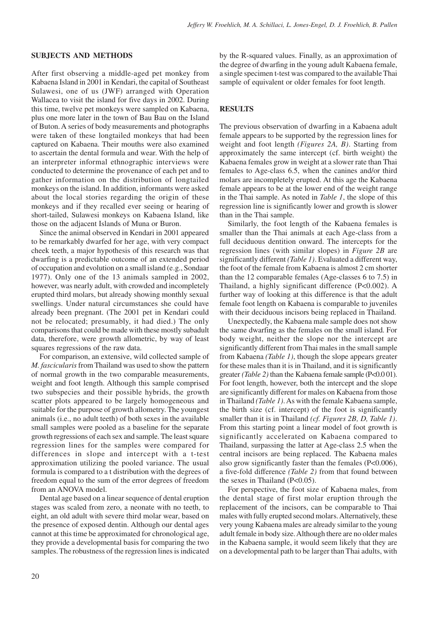#### **SUBJECTS AND METHODS**

After first observing a middle-aged pet monkey from Kabaena Island in 2001 in Kendari, the capital of Southeast Sulawesi, one of us (JWF) arranged with Operation Wallacea to visit the island for five days in 2002. During this time, twelve pet monkeys were sampled on Kabaena, plus one more later in the town of Bau Bau on the Island of Buton. A series of body measurements and photographs were taken of these longtailed monkeys that had been captured on Kabaena. Their mouths were also examined to ascertain the dental formula and wear. With the help of an interpreter informal ethnographic interviews were conducted to determine the provenance of each pet and to gather information on the distribution of longtailed monkeys on the island. In addition, informants were asked about the local stories regarding the origin of these monkeys and if they recalled ever seeing or hearing of short-tailed, Sulawesi monkeys on Kabaena Island, like those on the adjacent Islands of Muna or Buron.

Since the animal observed in Kendari in 2001 appeared to be remarkably dwarfed for her age, with very compact cheek teeth, a major hypothesis of this research was that dwarfing is a predictable outcome of an extended period of occupation and evolution on a small island (e.g., Sondaar 1977). Only one of the 13 animals sampled in 2002, however, was nearly adult, with crowded and incompletely erupted third molars, but already showing monthly sexual swellings. Under natural circumstances she could have already been pregnant. (The 2001 pet in Kendari could not be relocated; presumably, it had died.) The only comparisons that could be made with these mostly subadult data, therefore, were growth allometric, by way of least squares regressions of the raw data.

For comparison, an extensive, wild collected sample of *M. fascicularis* from Thailand was used to show the pattern of normal growth in the two comparable measurements, weight and foot length. Although this sample comprised two subspecies and their possible hybrids, the growth scatter plots appeared to be largely homogeneous and suitable for the purpose of growth allometry. The youngest animals (i.e., no adult teeth) of both sexes in the available small samples were pooled as a baseline for the separate growth regressions of each sex and sample. The least square regression lines for the samples were compared for differences in slope and intercept with a t-test approximation utilizing the pooled variance. The usual formula is compared to a t distribution with the degrees of freedom equal to the sum of the error degrees of freedom from an ANOVA model.

Dental age based on a linear sequence of dental eruption stages was scaled from zero, a neonate with no teeth, to eight, an old adult with severe third molar wear, based on the presence of exposed dentin. Although our dental ages cannot at this time be approximated for chronological age, they provide a developmental basis for comparing the two samples. The robustness of the regression lines is indicated by the R-squared values. Finally, as an approximation of the degree of dwarfing in the young adult Kabaena female, a single specimen t-test was compared to the available Thai sample of equivalent or older females for foot length.

## **RESULTS**

The previous observation of dwarfing in a Kabaena adult female appears to be supported by the regression lines for weight and foot length *(Figures 2A, B)*. Starting from approximately the same intercept (cf. birth weight) the Kabaena females grow in weight at a slower rate than Thai females to Age-class 6.5, when the canines and/or third molars are incompletely erupted. At this age the Kabaena female appears to be at the lower end of the weight range in the Thai sample. As noted in *Table 1*, the slope of this regression line is significantly lower and growth is slower than in the Thai sample.

Similarly, the foot length of the Kabaena females is smaller than the Thai animals at each Age-class from a full deciduous dentition onward. The intercepts for the regression lines (with similar slopes) in *Figure 2B* are significantly different *(Table 1)*. Evaluated a different way, the foot of the female from Kabaena is almost 2 cm shorter than the 12 comparable females (Age-classes 6 to 7.5) in Thailand, a highly significant difference (P<0.002). A further way of looking at this difference is that the adult female foot length on Kabaena is comparable to juveniles with their deciduous incisors being replaced in Thailand.

Unexpectedly, the Kabaena male sample does not show the same dwarfing as the females on the small island. For body weight, neither the slope nor the intercept are significantly different from Thai males in the small sample from Kabaena *(Table 1)*, though the slope appears greater for these males than it is in Thailand, and it is significantly greater *(Table 2)* than the Kabaena female sample (P<0.0 01). For foot length, however, both the intercept and the slope are significantly different for males on Kabaena from those in Thailand *(Table 1)*. As with the female Kabaena sample, the birth size (cf. intercept) of the foot is significantly smaller than it is in Thailand *(cf. Figures 2B, D, Table 1)*. From this starting point a linear model of foot growth is significantly accelerated on Kabaena compared to Thailand, surpassing the latter at Age-class 2.5 when the central incisors are being replaced. The Kabaena males also grow significantly faster than the females (P<0.006), a five-fold difference *(Table 2)* from that found between the sexes in Thailand (P<0.05).

For perspective, the foot size of Kabaena males, from the dental stage of first molar eruption through the replacement of the incisors, can be comparable to Thai males with fully erupted second molars. Alternatively, these very young Kabaena males are already similar to the young adult female in body size. Although there are no older males in the Kabaena sample, it would seem likely that they are on a developmental path to be larger than Thai adults, with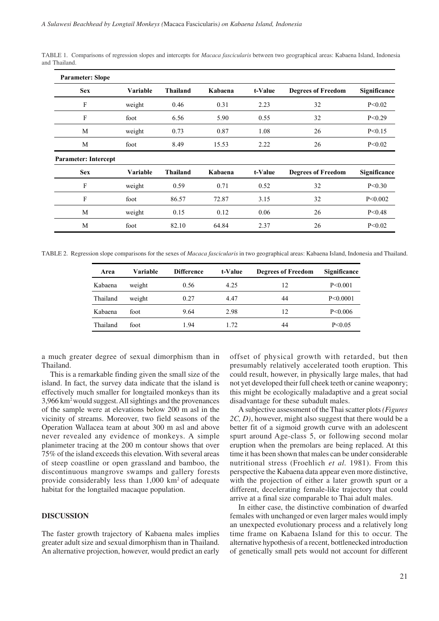| <b>Parameter: Slope</b>     |          |                 |         |         |                           |              |
|-----------------------------|----------|-----------------|---------|---------|---------------------------|--------------|
| <b>Sex</b>                  | Variable | <b>Thailand</b> | Kabaena | t-Value | <b>Degrees of Freedom</b> | Significance |
| F                           | weight   | 0.46            | 0.31    | 2.23    | 32                        | P < 0.02     |
| F                           | foot     | 6.56            | 5.90    | 0.55    | 32                        | P < 0.29     |
| M                           | weight   | 0.73            | 0.87    | 1.08    | 26                        | P < 0.15     |
| M                           | foot     | 8.49            | 15.53   | 2.22    | 26                        | P < 0.02     |
| <b>Parameter: Intercept</b> |          |                 |         |         |                           |              |
| <b>Sex</b>                  | Variable | <b>Thailand</b> | Kabaena | t-Value | <b>Degrees of Freedom</b> | Significance |
| F                           | weight   | 0.59            | 0.71    | 0.52    | 32                        | P < 0.30     |
| F                           | foot     | 86.57           | 72.87   | 3.15    | 32                        | P < 0.002    |
| M                           | weight   | 0.15            | 0.12    | 0.06    | 26                        | P < 0.48     |
| M                           | foot     | 82.10           | 64.84   | 2.37    | 26                        | P < 0.02     |
|                             |          |                 |         |         |                           |              |

TABLE 1. Comparisons of regression slopes and intercepts for *Macaca fascicularis* between two geographical areas: Kabaena Island, Indonesia and Thailand.

TABLE 2. Regression slope comparisons for the sexes of *Macaca fascicularis* in two geographical areas: Kabaena Island, Indonesia and Thailand.

| Area     | Variable | <b>Difference</b> | t-Value | <b>Degrees of Freedom</b> | Significance  |
|----------|----------|-------------------|---------|---------------------------|---------------|
| Kabaena  | weight   | 0.56              | 4.25    | 12                        | P < 0.001     |
| Thailand | weight   | 0.27              | 4.47    | 44                        | P < 0.0001    |
| Kabaena  | foot     | 9.64              | 2.98    | 12                        | $P \le 0.006$ |
| Thailand | foot     | 1.94              | 1.72    | 44                        | P < 0.05      |

a much greater degree of sexual dimorphism than in Thailand.

This is a remarkable finding given the small size of the island. In fact, the survey data indicate that the island is effectively much smaller for longtailed monkeys than its 3,966 km2 would suggest. All sightings and the provenances of the sample were at elevations below 200 m asl in the vicinity of streams. Moreover, two field seasons of the Operation Wallacea team at about 300 m asl and above never revealed any evidence of monkeys. A simple planimeter tracing at the 200 m contour shows that over 75% of the island exceeds this elevation. With several areas of steep coastline or open grassland and bamboo, the discontinuous mangrove swamps and gallery forests provide considerably less than 1,000 km2 of adequate habitat for the longtailed macaque population.

## **DISCUSSION**

The faster growth trajectory of Kabaena males implies greater adult size and sexual dimorphism than in Thailand. An alternative projection, however, would predict an early

offset of physical growth with retarded, but then presumably relatively accelerated tooth eruption. This could result, however, in physically large males, that had not yet developed their full cheek teeth or canine weaponry; this might be ecologically maladaptive and a great social disadvantage for these subadult males.

A subjective assessment of the Thai scatter plots *(Figures 2C, D)*, however, might also suggest that there would be a better fit of a sigmoid growth curve with an adolescent spurt around Age-class 5, or following second molar eruption when the premolars are being replaced. At this time it has been shown that males can be under considerable nutritional stress (Froehlich *et al.* 1981). From this perspective the Kabaena data appear even more distinctive, with the projection of either a later growth spurt or a different, decelerating female-like trajectory that could arrive at a final size comparable to Thai adult males.

In either case, the distinctive combination of dwarfed females with unchanged or even larger males would imply an unexpected evolutionary process and a relatively long time frame on Kabaena Island for this to occur. The alternative hypothesis of a recent, bottlenecked introduction of genetically small pets would not account for different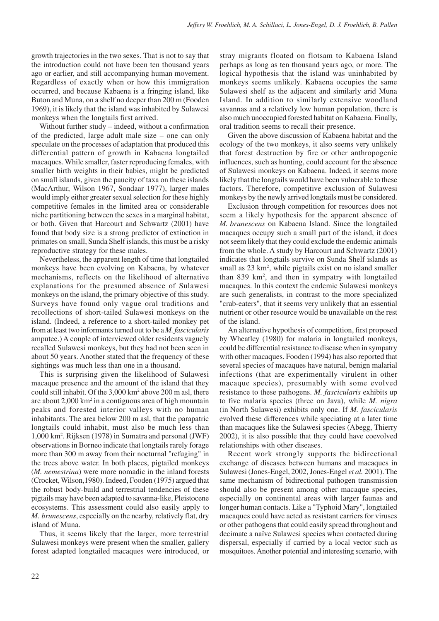growth trajectories in the two sexes. That is not to say that the introduction could not have been ten thousand years ago or earlier, and still accompanying human movement. Regardless of exactly when or how this immigration occurred, and because Kabaena is a fringing island, like Buton and Muna, on a shelf no deeper than 200 m (Fooden 1969), it is likely that the island was inhabited by Sulawesi monkeys when the longtails first arrived.

Without further study – indeed, without a confirmation of the predicted, large adult male size – one can only speculate on the processes of adaptation that produced this differential pattern of growth in Kabaena longtailed macaques. While smaller, faster reproducing females, with smaller birth weights in their babies, might be predicted on small islands, given the paucity of taxa on these islands (MacArthur, Wilson 1967, Sondaar 1977), larger males would imply either greater sexual selection for these highly competitive females in the limited area or considerable niche partitioning between the sexes in a marginal habitat, or both. Given that Harcourt and Schwartz (2001) have found that body size is a strong predictor of extinction in primates on small, Sunda Shelf islands, this must be a risky reproductive strategy for these males.

Nevertheless, the apparent length of time that longtailed monkeys have been evolving on Kabaena, by whatever mechanisms, reflects on the likelihood of alternative explanations for the presumed absence of Sulawesi monkeys on the island, the primary objective of this study. Surveys have found only vague oral traditions and recollections of short-tailed Sulawesi monkeys on the island. (Indeed, a reference to a short-tailed monkey pet from at least two informants turned out to be a *M. fascicularis* amputee.) A couple of interviewed older residents vaguely recalled Sulawesi monkeys, but they had not been seen in about 50 years. Another stated that the frequency of these sightings was much less than one in a thousand.

This is surprising given the likelihood of Sulawesi macaque presence and the amount of the island that they could still inhabit. Of the  $3,000 \text{ km}^2$  above 200 m asl, there are about 2,000 km<sup>2</sup> in a contiguous area of high mountain peaks and forested interior valleys with no human inhabitants. The area below 200 m asl, that the parapatric longtails could inhabit, must also be much less than 1,000 km2 . Rijksen (1978) in Sumatra and personal (JWF) observations in Borneo indicate that longtails rarely forage more than 300 m away from their nocturnal "refuging" in the trees above water. In both places, pigtailed monkeys (*M. nemestrina*) were more nomadic in the inland forests (Crocket, Wilson,1980). Indeed, Fooden (1975) argued that the robust body-build and terrestrial tendencies of these pigtails may have been adapted to savanna-like, Pleistocene ecosystems. This assessment could also easily apply to *M. brunescens*, especially on the nearby, relatively flat, dry island of Muna.

Thus, it seems likely that the larger, more terrestrial Sulawesi monkeys were present when the smaller, gallery forest adapted longtailed macaques were introduced, or stray migrants floated on flotsam to Kabaena Island perhaps as long as ten thousand years ago, or more. The logical hypothesis that the island was uninhabited by monkeys seems unlikely. Kabaena occupies the same Sulawesi shelf as the adjacent and similarly arid Muna Island. In addition to similarly extensive woodland savannas and a relatively low human population, there is also much unoccupied forested habitat on Kabaena. Finally, oral tradition seems to recall their presence.

Given the above discussion of Kabaena habitat and the ecology of the two monkeys, it also seems very unlikely that forest destruction by fire or other anthropogenic influences, such as hunting, could account for the absence of Sulawesi monkeys on Kabaena. Indeed, it seems more likely that the longtails would have been vulnerable to these factors. Therefore, competitive exclusion of Sulawesi monkeys by the newly arrived longtails must be considered.

Exclusion through competition for resources does not seem a likely hypothesis for the apparent absence of *M. brunescens* on Kabaena Island. Since the longtailed macaques occupy such a small part of the island, it does not seem likely that they could exclude the endemic animals from the whole. A study by Harcourt and Schwartz (2001) indicates that longtails survive on Sunda Shelf islands as small as 23 km<sup>2</sup>, while pigtails exist on no island smaller than 839 km2 , and then in sympatry with longtailed macaques. In this context the endemic Sulawesi monkeys are such generalists, in contrast to the more specialized "crab-eaters", that it seems very unlikely that an essential nutrient or other resource would be unavailable on the rest of the island.

An alternative hypothesis of competition, first proposed by Wheatley (1980) for malaria in longtailed monkeys, could be differential resistance to disease when in sympatry with other macaques. Fooden (1994) has also reported that several species of macaques have natural, benign malarial infections (that are experimentally virulent in other macaque species), presumably with some evolved resistance to these pathogens. *M. fascicularis* exhibits up to five malaria species (three on Java), while *M. nigra* (in North Sulawesi) exhibits only one. If *M. fascicularis* evolved these differences while speciating at a later time than macaques like the Sulawesi species (Abegg, Thierry 2002), it is also possible that they could have coevolved relationships with other diseases.

Recent work strongly supports the bidirectional exchange of diseases between humans and macaques in Sulawesi (Jones-Engel, 2002, Jones-Engel *et al.* 2001). The same mechanism of bidirectional pathogen transmission should also be present among other macaque species, especially on continental areas with larger faunas and longer human contacts. Like a "Typhoid Mary", longtailed macaques could have acted as resistant carriers for viruses or other pathogens that could easily spread throughout and decimate a naïve Sulawesi species when contacted during dispersal, especially if carried by a local vector such as mosquitoes. Another potential and interesting scenario, with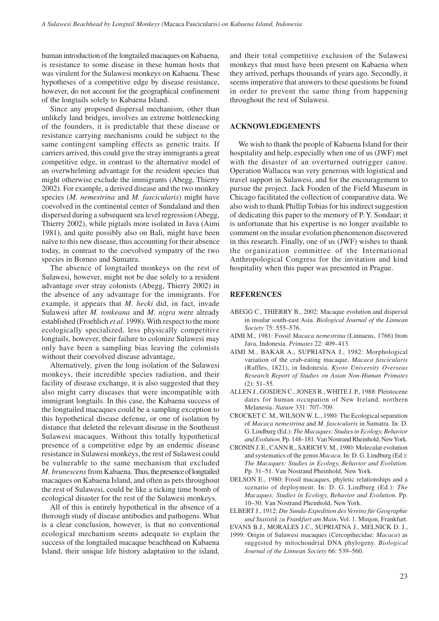human introduction of the longtailed macaques on Kabaena, is resistance to some disease in these human hosts that was virulent for the Sulawesi monkeys on Kabaena. These hypotheses of a competitive edge by disease resistance, however, do not account for the geographical confinement of the longtails solely to Kabaena Island.

Since any proposed dispersal mechanism, other than unlikely land bridges, involves an extreme bottlenecking of the founders, it is predictable that these disease or resistance carrying mechanisms could be subject to the same contingent sampling effects as genetic traits. If carriers arrived, this could give the stray immigrants a great competitive edge, in contrast to the alternative model of an overwhelming advantage for the resident species that might otherwise exclude the immigrants (Abegg, Thierry 2002). For example, a derived disease and the two monkey species (*M. nemestrina* and *M. fascicularis*) might have coevolved in the continental center of Sundaland and then dispersed during a subsequent sea level regression (Abegg, Thierry 2002), while pigtails more isolated in Java (Aimi 1981), and quite possibly also on Bali, might have been naïve to this new disease, thus accounting for their absence today, in contrast to the coevolved sympatry of the two species in Borneo and Sumatra.

The absence of longtailed monkeys on the rest of Sulawesi, however, might not be due solely to a resident advantage over stray colonists (Abegg, Thierry 2002) in the absence of any advantage for the immigrants. For example, it appears that *M. hecki* did, in fact, invade Sulawesi after *M. tonkeana* and *M. nigra* were already established (Froehlich *et al.* 1998). With respect to the more ecologically specialized, less physically competitive longtails, however, their failure to colonize Sulawesi may only have been a sampling bias leaving the colonists without their coevolved disease advantage,

Alternatively, given the long isolation of the Sulawesi monkeys, their incredible species radiation, and their facility of disease exchange, it is also suggested that they also might carry diseases that were incompatible with immigrant longtails. In this case, the Kabaena success of the longtailed macaques could be a sampling exception to this hypothetical disease defense, or one of isolation by distance that deleted the relevant disease in the Southeast Sulawesi macaques. Without this totally hypothetical presence of a competitive edge by an endemic disease resistance in Sulawesi monkeys, the rest of Sulawesi could be vulnerable to the same mechanism that excluded *M. brunescens* from Kabaena. Thus, the presence of longtailed macaques on Kabaena Island, and often as pets throughout the rest of Sulawesi, could be like a ticking time bomb of ecological disaster for the rest of the Sulawesi monkeys.

All of this is entirely hypothetical in the absence of a thorough study of disease antibodies and pathogens. What is a clear conclusion, however, is that no conventional ecological mechanism seems adequate to explain the success of the longtailed macaque beachhead on Kabaena Island, their unique life history adaptation to the island,

and their total competitive exclusion of the Sulawesi monkeys that must have been present on Kabaena when they arrived, perhaps thousands of years ago. Secondly, it seems imperative that answers to these questions be found in order to prevent the same thing from happening throughout the rest of Sulawesi.

### **ACKNOWLEDGEMENTS**

We wish to thank the people of Kabaena Island for their hospitality and help, especially when one of us (JWF) met with the disaster of an overturned outrigger canoe. Operation Wallacea was very generous with logistical and travel support in Sulawesi, and for the encouragement to pursue the project. Jack Fooden of the Field Museum in Chicago facilitated the collection of comparative data. We also wish to thank Phillip Tobias for his indirect suggestion of dedicating this paper to the memory of P. Y. Sondaar; it is unfortunate that his expertise is no longer available to comment on the insular evolution phenomenon discovered in this research. Finally, one of us (JWF) wishes to thank the organization committee of the International Anthropological Congress for the invitation and kind hospitality when this paper was presented in Prague.

## **REFERENCES**

- ABEGG C., THIERRY B., 2002: Macaque evolution and dispersal in insular south-east Asia. *Biological Journal of the Linnean Society* 75: 555–576.
- AIMI M., 1981: Fossil *Macaca nemestrina* (Linnaeus, 1766) from Java, Indonesia. *Primates* 22: 409–413.
- AIMI M., BAKAR A., SUPRIATNA J., 1982: Morphological variation of the crab-eating macaque, *Macaca fascicularis* (Raffles, 1821), in Indonesia. *Kyoto University Overseas Research Report of Studies on Asian Non-Human Primates* (2): 51–55.
- ALLEN J., GOSDEN C., JONES R., WHITE J. P., 1988: Pleistocene dates for human occupation of New Ireland, northern Melanesia. *Nature* 331: 707–709.
- CROCKET C. M., WILSON W. L., 1980: The Ecological separation of *Macaca nemestrina* and *M. fascicularis* in Sumatra. In: D. G. Lindburg (Ed.): *The Macaques: Studies in Ecology, Behavior and Evolution.* Pp. 148–181. Van Nostrand Rheinhold, New York.
- CRONIN J. E., CANN R., SARICH V. M., 1980: Molecular evolution and systematics of the genus *Macaca.* In: D. G. Lindburg (Ed.): *The Macaques: Studies in Ecology, Behavior and Evolution.* Pp. 31–51. Van Nostrand Pheinhold, New York.
- DELSON E., 1980: Fossil macaques, phyletic relationships and a scenario of deployment. In: D. G. Lindburg (Ed.): *The Macaques: Studies in Ecology, Behavior and Evolution.* Pp. 10–30. Van Nostrand Pheinhold, New York.
- ELBERT J., 1912: *Die Sunda-Expedition des Vereins für Geographie und Statistik zu Frankfurt am Main*, Vol. 1. Minjon, Frankfurt.
- EVANS B.J., MORALES J.C., SUPRIATNA J., MELNICK D. J.,
- 1999: Origin of Sulawesi macaques (Cercopihecidae: *Macaca*) as suggested by mitochondrial DNA phylogeny. *Biological Journal of the Linnean Society* 66: 539–560.